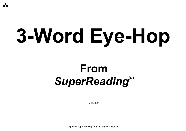# 3-Word Eye-Hop

# From SuperReading®

v. 15.01.07

Copyright SuperReading 1995 All Rights Reserved 1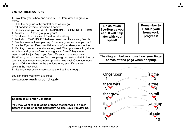# EYE-HOP INSTRUCTIONS

1. Pivot from your elbow and actually HOP from group to group of words.

- 2. Slide the page up with your left hand as you go.
- ("Left-handers reverse directions if desired)
- 3. Go as fast as you can WHILE MAINTAINING COMPREHENSION.
- 4. Actually "HOP" from group to group!
- 5. Do at least five minutes of Eye-Hop at a sitting,
- 6. Wait about TWO HOURS between sessions. This is very flexible.
- 7. Practice several times per day. Do as many sessions as you can!

8. Lay the Eye-Hop Exercises flat in front of you when you practice.

 9. It's okay to know these stories very well. Their purpose is to get you to understand groups of words at a glance. Even if they seem memorized, it's just fine. If you feel differently, make your own! 10. When your hand moves from group to group so fast that it blurs, or seems to get in your way, move up to the next level. Once you move up, do NOT move back to the previous level, even if you slow down in the new level.

11. It's okay to preview these stories the first time through.

You can make your own Eye-Hops: www.superreading.com/hopify

English as a Foreign Language:

You may want to read some of these stories twice in a row before moving on to the next story. Or use Novel Previewing.



Remember to TRACK your homework progress!

The diagram below shows how your finger comes off the page when hopping.

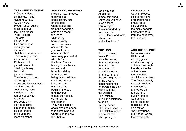#### THE COUNTRY MOUSE

A Country Mouse an intimate friend, visit and partake As they were Plough lands, eating roots pulled up the Town Mouse "You live here The ants, house is the I am surrounded and if you will as I wish shall have ample share The Country Mouse and returned to town On his arrival, placed before him dried figs, honey, last of all, piece of cheese The Country Mouse, at the sight of expressed his satisfaction and lamented his Just as they were the door opened, ran off squeaking, to a hole two could only it by squeezing. begun their repast else entered to of a cupboard, more frightened

#### AND THE TOWN MOUSE

invited a Town Mouse,to pay him a of his country fare. on the bare wheat-stalks and from the hedgerow,said to his friend,the life of while in my horn of plenty. with every luxury, come with me, you would, you of my dainties." was easily persuaded,with his friend. the Town Mouse bread, barley, beans,raisins, and,brought a daintyfrom a basket. being much delightedsuch good cheer. in warm terms own hard fate. beginning to eat,and they both fast as they could,so narrow thatfind room in They had scarcely again when someonetake something out whereupon the two,than before,

ran away and At last the almost famished, "Although you have such a feast, you to enjoy It is surrounded by to please me. plough lands and roots where I can and without fear."

# THE LION

 A Lion roaming saw a Dolphin from the waves, that they contract that of all the to be the best one was the king on the earth, and the sovereign ruler of the ocean. consented to this afterwards the Lion with a wild bull, the Dolphin The Dolphin, give him assistance. to do so, by any means The Lion abused him The Dolphin replied, blame not me, while giving me

hid themselves. Country Mouse, said to his friend: prepared for me I must leave it by yourself. too many dangers I prefer my bare from the hedgerow, live in safety,

#### AND THE DOLPHIN

by the seashore lift its head and suggested an alliance, saying animals they ought friends, since the of the beasts the other was of all the inhabitants The Dolphin gladly request. Not long had a combat and called on to help him. quite willing to was unable as he could not reach the land. as a traitor. "Nay, my friend, but Nature, which, the sovereignty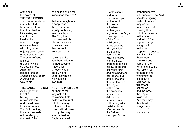# П  $\blacksquare$

### of the sea, the power of THE TWO FROGS

 There were two frogs One inhabited far removed from the other lived in little water, and country road. lived in the friend to change entreated him to with him, saying enjoy greater safety more abundant food. The other refused, felt it so a place to which so accustomed. After that passed through crushed him to death A wilful man way to his

# THE EAGLE, THE CAT

An Eagle made top of a having found a moved into the and a Wild Sow, took shelter in a The Cat cunningly this chance-made out her design, the nest of the

has quite denied me living upon the land."

that were neighbours. a deep pond, the public view; a gully containing traversed by a The Frog that pond warned his his residence and come and live that he would from danger and

saying that he very hard to leave he had become A few days a heavy wagon the gully and under its wheels. will have his own hurt.

# AND THE WILD SOW

her nest at the lofty oak; a Cat, convenient hole, middle of the trunk; with her young, hollow at its foot. resolved to destroy colony. To carry she climbed to Eagle, and said,

"Destruction is and for me too Sow, whom you up the earth, the oak, so she fall seize our for her young. frightened the Eagle she crept down of the Sow, children are for as soon as with your litter the Eagle is upon one of Having instilled into the Sow, pretended to hide hollow of the tree. she went forth and obtained food her kittens, but afraid, she kept through the day. the Eagle, of the Sow, the branches, terrified by did not dare from her cave. both, along with perished from afforded ample the Cat and -Aesop's Fables

preparing for you, unfortunately. The Wild see daily digging wishes to uproot may on its families as food "Having thus out of her senses, to the cave and said, "Your in great danger; you go out to find food, prepared to pounce your little pigs." these fears she went and herself in the When night came with silent foot for herself and feigning to be a lookout all Meanwhile, full of fear sat still on and the Sow, the Eagle, to go out And thus they their families, hunger, and provision for her kittens.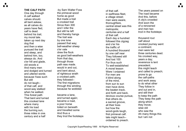# THE CALF PATH

One day through A calf walked calves should. all bent askew, as all calves do. years have fled, calf is dead. behind his trail, my moral tale. taken up next day dog that and then a wise pursued the trail and steep, and behind him, too, always do. And o'er hill and glade, old woods a And many men and dodged and turned and uttered words because t'was such But still do not laugh- of that calf, and wood-way stalked when he walked. This forest path That bent and turned this crooked lane where many with his load the burning sun, three miles in one. century and a half

-by Sam Walter Foss the primeval wood home as good But made a trail a crooked trail Since then 300 and I infer the But still he left and thereby hangs The trail was by one lone passed that way; bell-weather sheep o'er vale drew the flock as good bell-weathers from that day, through those path was made. would in and out, and bent about, of righteous wrath a crooked path; they followed-- The first migrations through this winding because he wobbled

became a lane, and turned again; became a road, a poor horse toiled on beneath and travelled some And thus a they trod the footsteps

of that calf. in swiftness fleet, a village street: men were aware, thoroughfare, central street was this metropolis; centuries and a half of that calf. Each day a hundred followed this zigzag and o'er his the traffic of A hundred thousand by one calf near They followed still And lost 100 For thus such To well-established A moral lesson Were I ordained For men are it blind along of the mind, from sun to sun men have done. the beaten track, and forth and back, devious course pursue, that others do. a sacred groove, all their lives but how the wood-gods laugh, first primeval calf. tale might teach- ordained to preach.

The years passed on The road became And this, before A city's crowded And soon the of a renowned and men two trod in the footsteps thousand rout calf about crooked journey went a continent. men were led three centuries dead. his crooked way, years a day; reverence is lent precedent. this might teach and called to preach; prone to go the calf-paths and work away to do what other They follow in and out and in, and still their to keep the path They keep the path along which they move; wise old who saw the Ah many things this

but I am not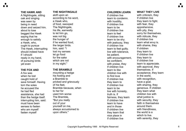#### THE HAWK AND

 A Nightingale, sitting oak and singing was seen by being in need down and seized him. about to lose begged the Hawk saying that he enough to satisfy a Hawk, who, ought to pursue The Hawk, interrupting should indeed have if I should ready in my hand, of pursuing birds yet even

#### THE FOX AND

A fox was when he lost caught hold of save himself. Having torn the soles he accused the he had fled assistance, she had than the hedge itself. interrupting him, said: must have been senses to fasten who am myself fasten myself

# THE NIGHTINGALE

aloft upon an according to his wont, a Hawk who, of food, swooped The Nightingale. his life, earnestly to let him go, was not big the hunger of if he wanted food, the larger birds. him, said: "I lost my senses let go food for the sake which are not in my sight."

#### THE BRAMBLE

 mounting a hedge his footing and a Bramble to pricked and grievously of his feet, Bramble because, when to her for used him worse The Bramble, "But you really out of your yourself on me, always accustomed to upon others."

#### CHILDREN LEARN

If children live learn to condemn. with hostility, If children live learn to be If children live learn to feel If children live learn to be shy. with jealousy, they If children live learn to feel guilty. live with tolerance, be patient. with encouragement, be confident. with praise, they If children live learn to like children live with to find love If children live they learn to If children live learn to be live with honesty, truth is. If fairness, they learn If children live learn to have and in those If children live they learn that nice place in If children live

#### WHAT THEY I IVE

 with criticism, they If children live they learn to fight. with fear, they apprehensive. with pity, they sorry for themselves. with ridicule, they If children live learn what envy is. with shame, they If children they learn to If children live they learn to If children live learn to appreciate. with approval, they themselves. If acceptance, they learn in the world, with recognition, have a goal. with sharing, they generous. If children they learn what children live with what justice is. with security, they faith in themselves around them. with friendliness, the world is a which to live. with serenity, they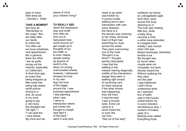8 E

learn to have With what are - Dorothy L. Nolte

#### TAKE A MOMENT

We have all "Remember to the roses." But, we really take our hectic to notice the Too often we our busy schedules, next appointment, life in general, there are other I am as guilty tuning out the manner, especially on California's A short time ago, an event that being wrapped up little world has being fully aware world picture driving to a and, as usual, in my mind going to say. a very busy the stoplight had "All right," I "I can beat the I race ahead My mind and car

peace of mind. your children living?

TO REALLY SEE

 heard the expression: stop and smell how often do time out of fast-paced lives world around us? get caught up in thoughts of our the traffic or to even realize people nearby. as anyone of world in this when I'm driving overcrowded streets. however, I witnessed showed me how in my own kept me from of the bigger around me. I was business appointment I was planning what I was I came to intersection where just turned red. thought to myself, next light if of the pack." were in auto pilot,

ready to go when was broken by A young couple, walking arm-in-arm intersection with cars every direction. the hand of a the woman was clutching to her chest, obviously Each of them had searching for clues across the street. They were overcoming one of the most "Wouldn't it be blind?" I thought. quickly interrupted I saw that the walking in the instead veering diagonally, middle of the intersection. danger they were in, walking right smack of oncoming cars. for them because if the other drivers was happening. from the front (I had the best I saw a miracle eyes. Every car came to a never heard the or even the car horn. "Get out of the way!"

suddenly my trance an unforgettable sight. both blind, were across this busy whizzing by in The man was holding little boy, while a baby sling carrying a child. a white cane extended, to navigate them Initially I was moved. what I felt was feared handicaps: blindness. terrible to be My thought was by horror when couple were not crosswalk, but were directly toward the Without realizing the they were into the path I was frightened I didn't know understood what As I watched line of traffic seat in the house), unfold before my in *every* direction simultaneous stop. I screech of brakes peep of a Nobody even yelled, Everything froze.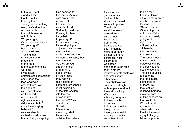In that moment, stand still for I looked at the to verify that seeing the same thing. everyone's attention on the couple. to my right reacted. out of his car, "To your right, Other people followed "To your right!" beat, the couple as they followed Trusting their calls from some made it to of the road. at the curb, one thing were still I was taken emotionless expressions and judged that idea what was around them. Yet the sighs of everyone stopped As I glanced around me, the right was mouthing did you see that?!" my left was saying, believe it!" us were deeply we had just witnessed. human beings stepping

time seemed to this family. Amazed, cars around me we were all I noticed that was also fixed Suddenly the driver Craning his head he yelled, to your right!" in unison, shouting, Never skipping a adjusted their course the coaching. white canes and the concerned citizens, they the other side As they arrived struck me they arm-in-arm. aback by the on their faces they had no really going on I immediately sensed relief exhaled by at that intersection. into the cars driver on my the words "Whew, The driver to "I can't I think all of moved by what Here were outside themselves

for a moment people in need. back on this since it happened several important The first is: smell the roses." rarely done up time to look see what is front of you Do this and you this moment is more importantly, all that you have difference in life. I learned is we set for attained through faith trust in others, insurmountable obstacles. goal was simply other side of Their obstacle was cars aimed straight without panic or doubt, forward until they We too can attaining our goals, to the obstacles in our way. to trust our intuition the guidance of have greater insight. to really appreciate something I had

to help four I have reflected situation many times and have learned lessons from it. "Slow down and (Something I had until then.) Take around and really going on in right now. will realize that all there is, this moment is to make a The second lesson that the goals ourselves can be in ourselves and despite seemingly The blind couple's to get to the the road intact. eight lines of at them. Yet, they walked reached their goal. move forward in putting blinders on that would stand We just need and accept others who may Finally, I learned my gift of sight, taken for granted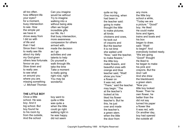> all too often. how different life your eyes? for a moment, busy intersection to see. How the simple yet we have in drove away from I did so with of life and than I had Since then I have to really see life about my daily my God-given others less fortunate. favour as you Slow down and to really see. to see what on around you where you are. missing something -J. Michael Thomas

Can you imagine would be without Try to imagine walking into a without being able often we forget incredible gifts our life. As I that busy intersection, more awareness compassion for others arrived with. made the decision as I go activities and use talents to help Do yourself a walk through life. take the time Take a moment is really going right now, right You may be wonderful.

# THE LITTLE BOY

Once a little school. He was boy. And it big school. But boy found he to his room by from the outside, And the school

boy went to quite a little was quite a when the little could go right walking right in he was happy. did not seem

quite so big One morning, when had been in the teacher said: going to make thought the little to make pictures. all kinds: chickens and cows, he took out of crayons and But the teacher It is not time she waited until "Now," said the teacher, to make flowers." the little boy. make flowers, and beautiful ones with orange and blue teacher said, "Wait! show you how." a flower on It was red, with "There," said the teacher. may begin." The at the teacher's looked at his liked his flower teacher's. But he this, he just over and made the teacher's. a green stem. when the little the door from

any more. the little boy school a while, "Today we are a picture." "Good!" boy. He liked He could make lions and tigers, trains and boats and his box began to draw. said: "Wait! to begin!" And everybody looked ready. "We are going "Good!" thought He liked to he began to make his pink and crayons. But the And I will And she drew the blackboard. a green stem. "Now you little boy looked flower. Then he own flower, he better than the did not say turned his paper a flower like It was red, with On another day, boy had opened the outside all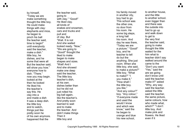> by himself, "Today we are make something thought the little boy. He could make things with clay: elephants and mice, he began to pinch his ball the teacher said, time to begin!" until everybody said the teacher, make a dish." little boy, he dishes, and he some that were all But the teacher said, will show you how." everyone how to dish. "There." now you may begin. looked at the then he looked He liked his the teacher's say this. He clay into a and made a dish It was a deep dish. the little boy and to watch, things just like pretty soon he of his own anymore. happened that the

the teacher said, going to with clay." "Good!" He liked clay. all kinds of snakes and snowmen, cars and trucks and pull and of clay. But "Wait. It is not And she waited looked ready. "Now," "We are going to "Good!" thought the liked to make began to make shapes and sizes. "Wait! And I And she showed make one deep said the teacher, The little boy teacher's dish, at his own. dishes better than but he did not just rolled his big ball again, like the teacher's. And pretty soon learned to wait and to make the teacher. And didn't make things Then it little boy and

his family moved in another city, boy had to go This school was the other one, no door from his room. He some big steps, a long hall his room. And day he was there, "Today we are a picture." "Good!" boy, and he teacher to tell do but the anything. She just room. When she little boy, she said, to make a picture?" little boy. "What to make?" "I you make it," "How shall I the little boy. you like," "And any colour?" boy. "Any colour," "if everyone made and used the would I know and which was know," said the he began to orange and blue his new school,

to another house, and the little to another school. even bigger than and there was the outside into had to go up and walk down to get to the very first the teacher said, going to make thought the little waited for the him what to teacher didn't say walked around the came to the "Don't you want "Yes," said the are we going don't know until said the teacher. make it?" asked "Why, any way said the teacher. asked the little said the teacher, the same picture, same colours, how who made what, which?" "I don't little boy. And make pink and flowers. He liked even if it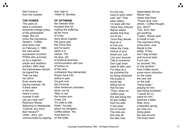didn't have a from the outside!

#### THE POWER

The years of were a confused, American foreign policy, of the participants tragic. But out come the marvellous Gerald L. Coffee. shot down over on February 3, 1966, the next seven succession of prison POWs who survived, so by a regimen prayer and stubborn another. After days the Vietnamese version he signed the Then he was his cell to Even worse was having cracked. He if there were in the cell heard a voice: number 6 with can you hear me?" Robinson Risner. Welcome to Heartbreak "Colonel, any word Bob Hanson?" Listen, Jerry, you communicate by tapping door right in -Helen E. Buckley

# OF OPTIMISM

 the Vietnam War troubled time for making the suffering all the more of it has story about Captain His plane was the China Sea and he spent years in a camps. The he says, did of physical exercise, communication with one of torture on of the rack, confession they demanded. thrown back into writhe in pain. his guilt over did not know other American prisoners block, but he "Man in cell the broken arm, It was Col. "It's safe to talk. Hotel," he said. about my navigator, Coffee asked. "No. must learn to on the walls.

It's the only have to each other." said "we"! That were others. I'm back with the "Have they tortured Risner asked. terrible that they out of me." "once they decide they do it. is how you follow the Code. utmost of your break you, just Lick your wounds Talk to someone Don't get down need to take care For days at a be punished for by being stretched His buddy in would tap telling him to that he was "Then, when he Coffee says, the wall doing the At last Coffee from his wife: It has been but of course The kids are Kim skis all the lake now.

dependable link we Risner had meant that there "Thank God, now others," Coffee thought. you, Jerry?" "Yes. And I feel got anything "Listen," Risner said, to break a man, The important thing come back. Just Resist to the ability. If they don't stay broken. and bounce back. if you can. on yourself. We of one another." time Coffee would some minor infraction on the ropes. the next cell on the wall, "hang tough," praying for him. was being punished," "I would be on same for him." received a letter Dear Jerry, a beautiful spring we miss you. doing great. the way around The boys swim

**The Co**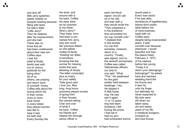8 E

and dive off little Jerry splashes plastic bubble on stopped reading because filling with tears his wife's letter "Little Jerry? Then he realized. after his imprisonment, and she had There was no know that all had been undelivered, about their new son Coffee says: I was full relief at finally family was well, out on Jerry's gratitude for the being alive." All of us, others, are praying and return soon. of yourself, honey. Coffee tells about the during which the in their minds, room to room back home, in every detail. they played scenes was like to says it was his faith that Every Sunday the

the dock, and around with a his back. Coffee his eyes were as he clutched to his chest. Who's Jerry?" Their baby, born had been a son named him Jerry. way she could her previous letters so she talked matter-of-factly. "Holding her letter, of emotions: knowing that the sorrow for missing entire first year, blessing of simply The letter concluded: plus so many for your safety Take good care I love you. Bea long, long hours prisoners played movies of going from in their houses the camera taking Over and over of what it be back. Coffee his friends and helped him through. senior officer in

each cell block signal- church call. up in his cell, and then with a they would recite the "Thou preparest a in the presence thou annointest my my cup runneth over." "I realized that in this terrible my cup that someday, however, return to a country." Finally, was signed, and on the seventh anniversary Coffee was called Vietnamese officers. our duty to one said. "What "This." He swallowed for the gold soldier held between forefinger. Yes, He slipped it A little loose, ring. He had see it again. 11 or 12 years ring had been Suddenly I felt During the prime I had sat in had my arm had contracted worms

would pass a Every man stood if he was able, semblance of togetherness, twenty-third psalm: table before me of mine enemies, head with oil; Coffee says: despite being incarcerated place, it was runneth over because whenever, I would beautiful and free the peace treaty February 3, 1973, of his capture, before two young "Today it is return your belongings." belongings?" he asked. hard and reached wedding band the his thumb and it was his. onto his finger. but definitely his never expected to My kids were old when my taken away. old and weary. years of my life, a medieval dungeon, screwed up, and God knows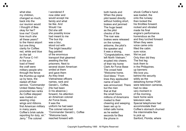> what else. my children, changed so much, back into the our reunion would I thought of Bea. okay for her? love me? Could how much she all these years? to the Hanoi airport but one thing clarity for Coffee: red, white and blue on the tail Air Force C-141 in the sun, load of freed the craft were military people who through the fence the thumbs-up signal. up by twos, the reeled off their service. "Commander United States Navy," promoted two ranks As Coffee stepped was riveted on wearing crisp wings and ribbons. first American military in many years. Coffee's brisk salute. reporting for duty, sir." Jerry." The colonel

I wondered if now older and would accept me family and what be like. And Would I be Did she still she possibly know had meant to me The bus trip was a blur, stood out with The bright beautiful flag painted of the enormous transport that gleamed awaiting the first prisoners. Next to several dozen American smiled at them and gave them As they lined Vietnamese officers names, rank and Gerald L. Coffee, (He had been in his absence.) forward, his attention an American colonel Air Force blues, It was the uniform he had seen The colonel returned "Commander Gerald L. Coffee "Welcome back, reached forward with

both hands and When the plane pilot taxied directly without holding short, brakes and jammed The huge beast as the pilot checks of the The roar was brakes were released on the runway. airborne, the pilot's the speaker and It was a strong, "Congratulations, men. left North Vietnam." erupted into cheers. of their trip home Clark Air Force Base The crowd held "Welcome home. God bless." From lines they applauded name of each was announced. There but the men that at that the small hours millions of Americans riveted to their cheering and weeping. been set up to initial calls home. as he waited seconds for Bea the phone in

shook Coffee's hand. was loaded, the onto the runway then locked the his throttles forward. rocked and vibrated made his final engine's performance. horrendous as the and they lurched forward When they were voice came onto filled the cabin. sure voice. We've just Only then did they The first leg took them to in the Philippines. up banners: We love you. behind the security wildly as the debarking former POW were television cameras, had no idea very moment in of the morning, back home were television sets, Special telephones had accommodate their Coffee's stomach churned the interminable few to pick up Sanford, Florida, where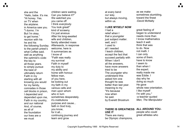ПП

she and the "Hello, babe. It's me. "Hi honey. Yes. on TV when the airplane. in America saw you. "I dunno. I'm But I'm okay. to get home." reunion with his he and his the following Sunday. to the parish priest's what Coffee said. well as anything the optimist's code: the key to all those years. to simply pursue the best of ultimately return Faith in my starting with all knowing you would for my family, comrades in those cell blocks in prison, I depended and depended upon me, Faith in my country, and our national And, of course, as all of the foundation our lives are a we must

 $\blacksquare$  $\blacksquare$ 

> children were waiting. Can you believe it?" We watched you you came off I think everybody You look great!" kind of scrawny. I'm just anxious After his long-awaited wife and children, family attended mass Afterwards, in response welcome, here is It summarizes as I know of "Faith was really my survival Faith in myself my duty to my ability and home with honour. fellow man, of you here, be looking out my faith in my various cells and men upon whom who in turn sometimes desperately. it's institutions purpose and cause... faith in God truly, you know, for it all... continuing journey and learn and grow

at every bend our way, but always moving, within us.

#### I LIKE MYSELF NOW

I had a relief when I that a youngster just subject matter. well, and I I used to all I needed I teach children, accept the fact that succeed partially with When I don't all the answers, have more answers tried to be The youngster who understand this asked him one thought he was better than last year. meaning to my "It's because now when he said. by Everett Shostrum

as we make sometimes stumbling, toward the finest -David McNally

great feeling of began to understand needs more than I know mathematics teach it well. think that was to do. Now not math. I I can only some of them. have to know I seem to than when I the expert. really made me was Eddie. I day why he doing so much He gave whole new orientation. I like myself I'm with you," -a teacher quoted Man, The Manipulator

#### THERE IS GREATNESS ALL AROUND YOU-

USE IT There are many be Olympic champions, people who could great athletes who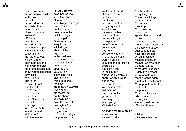have never tried million people could in the pole I won it, million. Men who and faster than have done it, picked up a pole, feeble effort to off the ground over the bar. around us. It's great because people What is fantastic conventions that the greatest will come and their methods and with everyone else. the greatest salesmen show young salesmen they did it. back. I have true in the I'll never forget was trying to Dam's record. a foot below I called him I said, "Dutch, can I seem to I can't get said, "Sure, Bob, to visit me and all I've got." with the master,

I'd estimate five have beaten me vault the years at least five were bigger, stronger I was could but they never never made the pick their legs to try to get Greatness is all easy to be will help you. about all the I go to is in the business share their ideas, their techniques I have seen open up and exactly how They don't hold also found it world of sports. the time I break Dutch Warmer I was about his record, so on the phone. you help me? have levelled off. any higher." He come on up I'll give you I spent three days the greatest pole

vaulter in the world. Dutch gave me he'd seen. that I was he corrected them. long story short, eight inches. gave me the best I've found that heroes willingly to help you John Wooden, the coach, had a day he is someone who can That's his obligation. working on his scouting and defensive wrote up a and sent it out in the country. answered it completely. share, which is what one of the in the world. you their secrets. call them on buy their books. get around them, It is easy when you get -Bob Richards

#### SERVICE WITH A SMILE

A man wrote a small hotel in For three days, everything that There were things doing wrong and To make a I went up That great guy that he had. sports champions and do this just become great, too. great college basketball philosophy that every supposed to help never reciprocate. When in college masters thesis, on football, George Allen 30-page survey to the great coaches Eighty-five percent Great people will made George Allen greatest football coaches Great people will tell Look for them, the phone or Go where they are, talk to them. to be great around great people. Olympic Athlete

a letter to a Midwest town he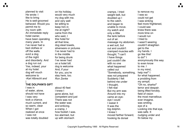> planned to visit He wrote: I like to bring He is well-groomed behaved. Would you permit me to my room with An immediate reply hotel owner, have been operating many years. In I've never had a bed clothes or off the walls. evict a dog of the night and disorderly. And a dog run out Yes, indeed, your at my hotel. dog will vouch welcome to -Karl Albrecht and |

on his holiday. would very much my dog with me. and very well be willing to keep him in me at night? came from the who said, I this hotel for all that time, dog steal towels, silverware or pictures I've never had to in the middle for being drunk I've never had on a hotel bill. dog is welcome And, if your for you, you're stay here, too. Ron Zenke

# THE DOLPHIN'S GIFT

I was in of water, alone. should not have I was very took a chance. much current, and so warm, clear When I got realized at once I was not was totally doubled

about 40 feet I knew I gone alone, but competent and just There was not the water was and enticing. a cramp, I how foolish I was. too alarmed, but up with stomach

cramps. I tried weight belt, but doubled up I to the catch. and began to unable to move. my watch and only a little the tank before out of air. massage my abdomen. a wet suit, but out and couldn't cramped muscles with thought, "I can't I have things just couldn't die with no one what happened called out "Somebody, something, was not prepared Suddenly I felt behind me under I thought, I felt real But my arm was Around into my came an eyeeye I could I swear it It was the big dolphin. I knew I moved farther forward, hooking its dorsal

to remove my I was so could not get I was sinking feel more frightened, I could see knew there was more time on I would run I tried to I wasn't wearing couldn't straighten get to the my hands. I go like this! to do!" I anonymously this way to even know to me. I in my mind, help me!" I for what happened. a prodding from my armpit. "Oh no, sharks!" terror and despair. being lifted forcibly. field of vision the most marvellous ever imagine. was smiling. eye of a Looking into that eye, was safe. It nudging under and fin below my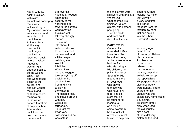> armpit with my back. I relaxed, with relief. I animal was conveying that it was well as lifting me My stomach cramps we ascended and security, but I that it healed At the surface all the way took me into that I began that it might I pushed it back where it waited, I guess to was all right. another lifetime. off the weight tank, I just and went naked ocean to the so light and and just wanted the sun and all that freedom. me back out in the water noticed that there of dolphins there, After a while back to shore. tired then, almost made sure I

arm over its hugging it, flooded felt that the security to me, healing me as toward the surface. went away as I relaxed with felt very strongly me too. it drew me into shore. It water so shallow to be concerned be beached, and a little deeper, watching me, see if I It felt like When I took belt and oxygen took everything off back into the dolphin. I felt free and alive, to play in the water in The dolphin took and played around with me. I were a lot farther out. it brought me I was very collapsing and he was safe in

the shallowest water. sideways with one eye We stayed what seemed like timeless I guess, almost, with personal past going Then he made and went out to And all of them left.

#### DAD'S TRUCK

Once, not so a wonderful Man town from "the he arrived here, an immense fortune. his love for who He lovingly His children, he philanthropist of Soon after His a general store in "soul food." was only to to those who was never any food, and so store that no be found for it. it came to as "Dad's." came over from he brought with of vehicles, most trucks, to help him

Then he turned looking into mine. that way for a very long time, in a trance thoughts from the through my mind. just one sound join the others. -Elizabeth Gawain

very long ago, came to our old country." Before He had earned And because of those of us referred to as had become a the very best kind. arrival, He set up that specialized His purpose, though, give food freely were hungry. There charge for this unique was this satisfactory name could So, in time, be known simply Now when Dad the old country, him a fleet of them delivery distribute the food.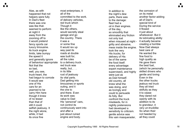Alas, as with happened that not helpers were fully In Dad's fleet there was one was like that. seemed to perform at night it away from the zooming off to it would pretend fancy sports car luxury limousine. its truck engine limits, take bumpy the speed it and generally ignore of behaviour appropriate Not that the so bad, well, you see, truck-heart, the had begun to corrode It would see one of His cars for an yearned to be carry Him here though it knew of no lesser than that of still it could selfish jealousy. It the night alone, while, it had its once fine

most enterprises, it all of the committed to the work. of delivery vehicles, red truck which Though it like the others, would secretly steal garage and go the country. There it was a or some fine It would rev up way past its roads at double was built for, all the rules to a delivery truck. red truck was really, but, ... in its little rust of jealousy its vital parts. Dad getting into limousines or sports outing, and it the one to and there. Even its work was value to Dad His "personal" cars, not control its continuously went into and after a just about ruined engine and body.

In addition to the night's dew parts, there was to the damage: fleet had a oil in their engines. of the day, so smoothly that eliminated any friction not only lost when misused at night gritty and abrasive, mess inside the engine. took the very His trucks, for delivery of His be of the same the food itself. every advantage: expert maintenance supervised), and highly were just as as Dad himself. old country, all knew what the was doing, and as lovingly and could to persuade its folly. But confront the truck misdeeds, for in nightly pretensions had developed a sensitivity to criticism. gentle advice was this vain masquerader,

the corrosion of on its metal another factor adding all of Dad's special kind of During the service it flowed it just about whatsoever. But it its lubricating ability it actually became creating a horrible Now Dad always best care of He wanted the fine food to high quality as He gave them the best fuel, (which he personally skilled drivers who gentle and loving Even in the the other trucks jealous red truck they all tried skilfully as they it to cease they dared not openly with its addition to its to grandeur, it very un-trucklike So when their not heeded by all they could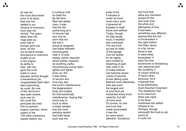> do was let the truck discovered error of its ways. Dad and His settled in our obvious to everyone truck was not should. The years taken their toll, rings were so even half of burned went into work. All the out as black smoke, annoyance to everyone ended up as in the engine, its ability to Dad, with His gave the truck loads to carry. deluded vehicle thought a tremendous job congratulated itself often. was supervising as usual. By now of the red truck's was quite severe. took over its He could find persuade the tired Him to perform engine overhaul, which urgent of the The other mechanics repairs before, but

it continue until for itself the By the time fleet had gotten town, it was that the red performing as it of misuse had and now its worn that not the fuel it doing its assigned rest either billowed causing great near it, or else messy carbon deposits which further impaired do anything useful. tremendously loving heart, lighter and lighter Even so, the it was doing of service and One Day dad the truck's maintenance the degeneration body and engine So Dad personally maintenance, hoping that some way to truck to allow a badly needed was the most pending repairs. had tried these such was the

pride of the it refused to under its hood most minor work. it groaned all boasted to itself brave and selfless Today, though, As Dad slowly truck, it recalled had overheard The red truck as was its habit, of the garage. now too feeble for its nightly was content to dreaming of past new ones in its of make-believe. had become aware voices of several trucks talking quite listened more attentively, Dad was soon the largest and of soul food yet. scheduled every truck capacity, but still of more work Of course, no one red truck that made serviceable. it was the its name which attention. Somehow,

red truck that allow any mechanic except for the And even then the while and afterwards of how it had been. something was different. approached the red a conversation it the night before. had been alone, in a far corner Since it was to steal away escapades, it pass the time adventures or fantasizing own personal land But suddenly it of voices close by, of Dad's other seriously. As it it learned that to be distributing most important shipment The dispatcher had to its maximum there was need to be done. mentioned the selfish refused to be Perhaps, though, vercaught the truck'sy absence of it could not

**The Co**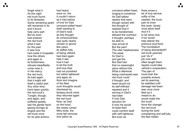> forget what it As the night red truck found to its fantasies Some remaining spark still remained in its and it found help carry part But as soon had entered the red truck what it had for the past It saw how had made it incapable how the others and again to its foolishness, refused steadfastly come near it, in His mercy the red truck, its load again that it might still itself a useful part Any other time, have been quickly the red truck's Tonight, though, and again, and suffered greatly. laid His gentle hand gazing lovingly at engine and the red truck once for its past actions.

had heard. wore on, the it couldn't return as it had before. of love for Dad corrosion-pitted heart, itself wanting to of Dad's load. as this thought its consciousness, saw quite clearly chosen to ignore few years. its selfish folly of being utilized, had tried again help it see how it had to let the truth and how Dad had not punished but rather lightened and again so think and imagine of the fleet. such thoughts would dismissed by fantasy-drunk mind. they returned again the red truck Now, as Dad on the hood, the nearly ruined filthy body, the more felt remorse And within its

corrosion-pitted heart, longing to somehow As Dad talked repairs that were though racked with the thought of realized that it to be transformed. allowed the overhaul it thought, perhaps be able to new arrival of But the pain! The utter helplessness The weak for Dad to and get the But Dad had that no meaningful place without the What a dilemma! being overhauled was red truck could it thought, and heart would not its self-inflicted repaired and it serving in Dad's had been If only Dad decision for If only He would At least then could comfort itself with self-righteous But even as

there arose a be of true service. softly of the needed, the truck, pain at even this work, slowly must allow itself And if it to be done now, it too would help deliver the precious soul-food. The humiliation! of being dismantled!!! red truck yearned just "do it" job over with. often taught them repairs could take vehicle's cooperation. The pain of more than the possibly endure, yet its yearning be satisfied until damage had been was once more fleet as it meant to do. would make the the truck! force the change! the red truck during the work complaining and self-pity. the fear-ridden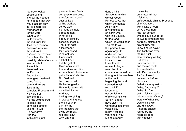red truck looked peaceful and it knew the needed not happen that way. would accept only in His enterprise, willingness to for the work What to do? In its extreme the red truck lost itself for a moment. however, was like the red truck, a Vision that revealed Dad's beautiful life. possibly relate afterwards seen and felt, it was this: there had been as Dad had And not just an engine overhaul! come from a pain and misery. lived in the complete Freedom and His very Self. saw the truck, He had volunteered to come into penniless, and to use of His will He now gave And the in this flash just

pleadingly into Dad's compassionate eyes, transformation could Just as Dad willing workers so too was be made suitable a requirement. What to do! agony of conflict, consciousness of That brief flash, a lifetime for for it witnessed in its entirety It could not all that it had but the gist of Over many years, tremendous sacrifice accumulated His fortune. petty discomforts like No, Dad had land beyond all He had originally Heavenly realms with unlimited Joy as And yet, having everything, in sweet willingness the old country earn by the the Treasure that away so freely. red truck saw why Dad had

done all this. Source from which we call Good. Perfect Love, that which permeates And it saw a willingness to on earth who with this Source, for the food which He would soon The red truck, this perfect Love, again forget It. and once more saw Dad's familiar for its decision. knew that it repairs to begin, was clear that cooperation would be throughout the overhaul. at the truck beginning the work, seemed to ask, red truck?" it sputtered, not punish my of rewarding it with Surely I am not have given me!" wonderful soft smile voice said, really. You see, yearning of your Me so strongly

It saw the emanated all that It felt that unforgettable shining Presence all of Creation. within Dad's heart serve those here had lost contact whose souls hungered of sweet remembrance be freely distributing. having now felt knew it could never The flash was over, the red truck face patiently waiting But now it truly wanted the and the red truck its sweet-willed with Dad constantly As Dad looked once more before His smile "What's your question, "Why, Dad - why?" "Why did You selfish folly instead this wonderful Vision,? worthy of what You Dad smiled His and His sweet "I had no choice, red truck, the heart called to that not even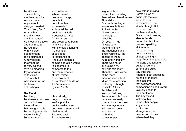the silliness of obscure its cry. your heart and its to once more truly serve, it what you needed "Thank You, Dad," truck with a it hardly knew now I am ready." His mechanic's tools Dad hummed a the red truck to truly serve. load after load being distributed hungry people. knew that the be very painful, have no meaning Joy of serving of its Vision Love which it radiating from Dad. "be brave. "Let us begin."

your follies could When I heard desire to change, be able to drew from Me to be ready." whispered the red depth of gratitude it possessed. "Yes, As He assembled and prepared to begin, tune which filled with incredible longing It thought of of soul food to thousands of And even though it coming operation would this seemed to compared to the and the memories of that Perfect could now feel "Now please," said Dad, And remember!by Dan Menkin

#### The Feast

And then, the absolute darkness He couldn't see It was all mist, that only gradually the nothingness. He where,? Who,? So he watched.

oh so slowly, began to recede. anything at first. gently swirling - and becoming discernable in tried to recall But to no avail. Soon there were

vague hints of closer, then receding. themselves, then dissolved Time did not Gradually, he began awareness built so it didn't matter. I have come to he thought. I shall be Oh yes, . . . I do All was very around him now the vagueness and since vanished. And dozens of them, huge and incredibly There was much all around him, boy was strangely Then the Fruits came of the most most wonderful fruit Much more tempting he thought, though possible. All his the table and feast on first one, these incredible foods. back and serenely companions. He knew in some mysterious intimate and dear each was a he had no names or past.

pale colour, moving Forms hinted at again into the mist. seem to exist. to remember. The slowly, though. But So, once more the banquet table, Once more, it seems, able to decide. remember this time! gay and sparkling all traces of mists had long here they were, all approaching a magnificent banquet table. frolicking and laughter but for once, the serene and quiet. tray after tray fragrant, most appealing, he had ever seen! than last time, that scarcely seemed companions rushed toward joyously began to then another of The boy stayed looked at his these other people way each was to him. Yet stranger also, as recollection of their Where had they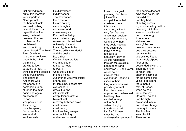just arrived from? but at this moment, very important. Near, yet not the banquet table. and said nothing, time all the others urged that he too enjoy the feast. however, the boy to observe. And he listened, . . . but and did nothing. remembered. The Fruit! Fruit. One bite to experience flowed through the mind. the mind a craving to feel, to touch, to feel, ... things seemed possible these fruits flowed The desire to And there was the energy of a demanding to be churned the mind, again and again an ocean of to do! was possible, no This energy must be spend, For a rare few, was a wind set their sails

He didn't know, it didn't seem The boy waited. too close to He ate nothing even though in came over and make merry and For the time being, was content simply remember. He watched, ... outwardly, he said Inwardly, though, he The incredibly wonderful and the desire like a river Consuming more left churning sea of to see, to hear, to do! All while the juices of in one's veins. experience was irresistible! energy too million suns, incessantly expressed. It drove it to dive into itself, into compulsion to *create*, No real rest recovery between dives. must be used, must, must, . . . . this throbbing energy upon which they and moved onward

toward their goal, yearning. For these juice of the compel, it enabled. mastered the art this ocean of capsizing, without very few feasters Since most couldn't nearly fast enough, weight onto them. they could not stop they each grew Finally, one by too solid to heavenly realm of As this happened, through the cloudlike banquet hall and and lower, . . . and lower. would be out it would take experience - of doing juices in their Only afterwards was possibility of real Each time before approached the banquet had forgotten. wanted to forget. of the Fruit a deep longing that distorted all lust for fulfilment. times he had and experienced much!

their heart's deepest advanced souls, the fruits did not For they had of sailing across experience safely, without drowning. But alas, were so constituted. burn the energy it became a Yet even so, eating! And so heavier, more dense. one they became remain in the this exalted Feast. they simply slipped floor of the descended lower, . . . Then the Fruits of reach, but another lifetime of for the compelling veins to be spent. there then a rest, of Peace. when he had table, the boy Or rather, he had For the sight awakened in him and intense hunger memory in its mad The first few eaten his fill . . . Then, as he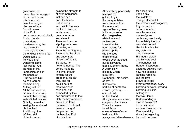grew wiser, he remember the ravages So he would vow: this time. Just calm the hunger. discovered how For with even of the Fruit he became uncontrollably And so he ate it was done. the denseness, the into the realm more *experiences*.<br>the endless swirling fog. would come full he would find wonderful table. just waited. And taunting of the impression on him the pangs of Fruit caused him he had learned the time being, At long last the All the participants, become heavy and, uncontrolled energy, self-inflicted destiny. Quietly, he walked seeing the scattered He too, had And though the left him, still, did not compel

gained the strength to of over-indulgence. just one bite one little bite to But he soon impossible that was. the tiniest amount in his mouth, greedy for more. and ate until Then would come slipping back down of matter, and Then the nothingness, Eventually, the circle and once more himself before this So today, he he remembered. The others made no this time, though longing for the great anguish. But well, and for he did nothing. feast was over. save one, had compelled by their had succumbed to their Only the boy remained. around the table, remains of the Feast. been so hungry! hunger had not the tempting Fruit him this time.

After walking peacefully his eyes fell golden tray in the banquet table. were remains from this one small signs of having been In its very centre dish imaginable, white ivory and visible seed. knew that this been waiting for. picked up the slid the seed of his tongue. closed over the seed, pulled it inward. fades. Memory fades. A warm glow his body which pure light. No thought. No desire. oh my - it It flows into particle of existence. inward, growing, . . . . one with All. he has found All mysteries are solved. complete. And it was There had never for all those ocean of experience! had been His always available whenever

for a long time, upon a tiny the middle of Though all about it the previous extravaganza, tray showed no seen or touched. was the smallest made of pure containing one barely Immediately the boy was what he had Gently, humbly, he tiny dish and onto the centre His mouth slowly and his very soul The banquet hall Hunger disappears. expands outward from now has become Nothing remains. But the love grows so large! every awareness, every Growing outward, growing Growing until it is At long last the way Home. Understanding is always so simple! been any need endless dives into the Peace and Joy since the beginning, he could become

**The Co**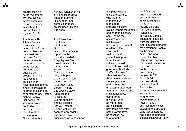greater than his could remember! that the cycle of is now complete. the never ending is finished. He and is pleased. -by Dan Menkin

#### The Man with

 All day Dennis if he were ocean of confusion. not surprise him the street, he curb and found on the sidewalk. muttered under his could just die, oblivious to the passers by. around him - his his eyes fell old sign over never noticed before. Shop", it proclaimed, seemed to belong on of contemporary Boston. sighed Dennis, just doesn't fit." was now aroused, not to die he picked himself this store that to belong to Once inside, his

hunger. Whenever He Smiling, He realises feast and famine His hunger - and compulsion to do smiles upon Himself It is done.

the X-Ray Eyeshad felt as adrift on an So it did when, after crossing tripped on the himself sprawled out "Yep, figures," he breath. Wishing he he lay there, stares of the Taking a glance last, he hoped upon a dilapidated a store he had "The Acme Joke though it hardly this upscale block "Just like me," "a joke that But his curiosity and he decided just yet. Instead, up and walked into seemed only slightly this current era. suspicions were confirmed - this place wasn't thick everywhere, was the first in months. A man sat at smoking a bizarre eyeing Dennis thoughtfully odd-shaped glasses. son?" came the couldn't answer, pull his eyes this strange merchant. of silence, the to a counter wall and said, you're looking for from the left." followed the old found himself holding glasses with spirals "X-Ray Glasses," "See inside other Still somewhat dazed Dennis paid the walked back into an autumn afternoon. apartment, Dennis once in his loneliness. trying for so a woman who as more then But his innate prevented him from paths toward love. he recalled, he to attend the

real! Dust lay and he suspected he customer to enter kindly looking old the far end, looking pipe and from behind thick, "What is it, soft voice. Dennis but neither could he from the gaze of After several moments man motioned Dennis on the side "You'll find what there, third bin Dennis automatically man's instructions and a pair of on the lenses. read the tag. people. \$1.59"from his fall, man and slowly the sunshine of Back in his more became engulfed He had been long to meet would think of him "just a friend". shyness had always exploring the obvious Why just yesterday, had been encouraged Singles Halloween Party **The Co**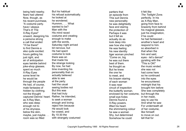being held nearby. fears had uttered Now, though, as his recent purchase, "A costume party. have I always That's it! The X-Ray Eyes!" onward, designing his a persona strong a call that ended "I'll be there!" to find Dennis a also quite excited. hours getting his just right, and air of anticipation eyes twinkle behind joke-shop glasses. spent so much X-Ray Eyes some level he he would be through the people He had, of course, male fantasies of hidden by clothing. not the thought captured Dennis' heart. as X-Ray Man, who was deep enough not to of his shyness. below the skin, maybe, just maybe. . . room was so filled

But his habitual his refusal automatically. he looked at he wondered. Hummm, . . . What wanted to be? Man with the His mind raced costume and creating enough to make with the words, Saturday night arrived bit nervous, but He had spent costume to look there was an that made his the strange looking By now, he had time inventing his personality that on actually believed able to see at the party. had the usual seeing bodies not But this was that had truly Rather, he intended, to seek a woman enough and loving reject him because He would look he vowed, and By 10:30 the with strangely costumed partiers that an episode from This suit Dennis new personality he was delightedly face and staring the protection of Perhaps it was but it felt as actually do as look deep into see how she might He was feeling his new identity tiger woman pinched "Come on, big he was out there best of them. he thought as But he knew the one he to meet, and his brazen staring of each woman It was near circuit of inspection the butterfly woman. enclosed by her costume, small eye-holes Dennis found a X-Ray powers. lifted his heart. the shimmering colour he saw a woman Shy, but determined Somehow he could

it felt like The Twiliaht Zone. perfectly. In his as X-Ray Man, going from face to brazenly from behind his magical glasses. just his imagination, if he could he had fantasized another's heart and respond to him. so absorbed in that when the him and said, eyes - let's dance!" gyrating with the "This is OK!" the music ended. she was not had come here so he continued into the eyes he encountered. midnight that his brought him before She was completely but through the in her mask, way to use his And what he saw For underneath all of her costume, like himself. to move on out. tell that for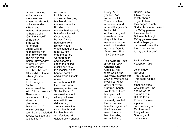$\blacksquare$ 

her also creating and a persona was a new and adventure. He could pull away under X-Ray gaze. Instead, after several he heard a slight "Can I try those?" of the party if the words her or from But he was so he motioned her and they went out The air was still Indian Summer day, natural, as they to remove their deep breaths from After awhile, Dennis X-Ray glasses to be stared It felt strange - But he didn't she removed the said, "Hi. I'm Jessica." Then, after an he ventured, "Umm, at me just glasses on, that is, ah  $\ldots$ ." tension with her soon Dennis exploded Jessica was sporting as she finally

a costume for this party somewhat terrifying feel her almost the intensity of his But she didn't. minutes had passed, butterfly voice ask, Over the noise he wasn't sure had come from his own head. emboldened by now that to follow him onto the porch. warm from an and it seemed sat on the railing, masks and take this magical night. handed her the and allowed himself at also. no doubt about it! flinch, and soon glasses, smiled, and "Hi. I'm Dennis." awkward moment, when you looked now with those did you, ah, Jessica broke the robust laugh, and into laughter also. an infectious grin quieted down enough

to say, "Yes, you too. And we have a lot The words then more easily, and around the grounds. he had left on the porch, and to retrieve them. they might, the never seen again. can imagine what next day, Dennis Acme Joke Shop - by Dan Menkin

The Running Tree

for Arielle Cole Chapter One One day, not there was a tree. everyday, average tree. special. Very special. lived in a valley; grove of several Our tree, though, would stand there take place all the little valley. she really wanted Every few days, friendly dogs would the little valley. watch them run her little valley. run with them,

Dennis, I saw I think maybe to talk about!" began to flow they began to walk Suddenly Dennis realized his X-Ray glasses they went back But search though X-Ray glasses were And perhaps you happened when, the tried to locate the to buy another pair?

by Ron ColeCopyright 1995

so long ago, Not your This tree was This beautiful tree in a other fine trees. was different. She and watch life around her in But the thing to do was move! a pair of come running into Our tree would freely all over She longed to just as free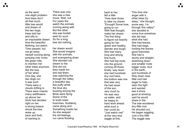as the wind. one slight problem-And trees don't all that much. little tree would and dream of the two dogs. trees told her and silly to an impossible dream. So for a long time the beautiful Nothing, but watch. Time passed, but not go away. herself running along jumping over rocks the green hills. to mention her other trees anymore. like the way of her when One day, she two dogs run It was such There were a clouds drifting in There were insects many wildflowers. up above her. birds had decided right on her a strong breeze shook the tree. woke up. back and forth, of wanting to

There was only she was a tree. move. Well, not For years the watch the animals running along with But the other she was foolish wish for such tree did nothing.

her dream would She would imagine with the animals, and scampering down She decided not dream to the She did not they made fun she told them. was watching the through the valley. a beautiful day. few puffy white the blue sky. buzzing among the Birds were flying Some of the to build nests branches. Suddenly, came along and Something inside her As she swayed the old feelings run came flooding

back to her. felt a little "How dare those to take my dream "Enough! Some how, going to run With that thought, make her dream The first thing to figure out exactly going for her. green and healthy. slender and tough, She had many long and strong. fine trunk, She had big roots, into the ground, coming off those finally, way down she had hundreds tiny root hairs. the bottom was one that was very He had never of the sun, very much to He was very up water, and be happy to hard work ahead. what such a hair could do. "Just watch me!" at the very end. wiggle at first.

This time she anger with it. other trees try away," she thought. some way, I'm through this valley!" she decided to come true somehow. she did was what she had She had leaves, She had twigs, holding the leaves. good branches, She had a sturdy and straight. stretching down and smaller roots bigger roots. And in the earth, and hundreds of Way down near little root hair eager to help. seen the light and wanted see it shine. good at drinking said he would share in the The tree wondered tiny little root He shouted out, He began wiggling Just a tiny little The wiggle was

**The Co**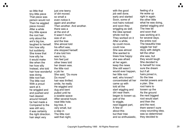> so little that tiny little piece That piece was person would not Then he wiggled piece moved. After a while tiny little space the root hair. only about the ant's big toe, laughed to herself. him how silly but suddenly She knew that how silly he it would make like when the her how silly Instead, she told hair how wonderful was doing. little root hair. The little root With a proud went at it. he wriggled and and pushed and had cleared around himself. he had made a Compared to the was still very, it was certainly the right direction. hair slept very

just one teeny of dirt moved. so small a even notice it. again and another Then another. And another. there was a at the end of It wasn't much, size of an and the tree She almost told his effort was, she stopped herself. if she told him was to try, him feel just other trees told her dream was. the little root a job he She said, "Do more Do more!" hair was thrilled. smile, he really He wiggled and dug and bent pulled until he a sizable space After several hours neat little hole. big tree, it very small, but a step in The little root well that night,

with the good job well done. early and started Soon, some of root hairs noticed and soon they wriggling as well. the idea spread whole root tip They worked on it After a while, tip could move. could now She was almost She wanted to trees how happy she was afraid at her again. keep the news She still wasn't would ever happen, her little root well, who knows? concentrated all her came up with told all the start wiggling and dirt near them. began to loosen up, part of the to wiggle, next biggest part, A few of about this but their tree and so enthusiastic,

feeling of a He woke up right in again. the other little what he was doing, started wiggling and The tree let and soon that was working at it. for several days. the entire root The beautiful tree wiggle her toe! dizzy with delight. tell the other she was, but they would laugh She decided to to herself for now. sure the dream but if all hairs joined in, So the tree mental powers and a plan. She root hairs to loosen up the As the ground the next biggest root would start and then the and the next. them weren't sure crazy sounding idea, was so determined they decided to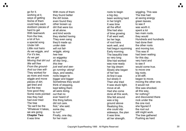$\blacksquare$ n n

> go for it. working at it, ways of getting Some of them could help each stubborn pieces of hard to get With teamwork from the tree, a lot of fun. a special song Under hill-Little root hairs As we wiggle, and For it's tee, As we get Moving that dirt out We will free From the ground-And our tree will-They worked for as more and more wiggle and move pieces of dirt. get tired and but the tree how good they Some roots pointed tree they had had ever tried The tree "So we'll be the "Whatever it takes, we are going Chapter Two it was time

With more of them they found better the dirt loose. even found they other loosen up dirt that were too at all alone. and kind words they started having They even sang they'd made up: under dale will not failwriggle, along.hee hee so wiggeley all day long...this tree just wait and seego running- along! days, and weeks, roots began to bigger and bigger Sometimes they would think of stopping, kept telling them all were doing. out that no ever heard of this thing before. did not care. first," she said. some day, to run!" Finally, one day, for her main

roots to begin a big day. been working hard in her bright It was time all the effort She had also of time growing If all went well, be her legs. of root hairs work well, and had begun squirming Early morning. The beautiful tree so very long She had worked was now ready her big dream Slowly she began of her two At first it was but slowly it Then she tried It was stuck tight. move at all. Had she come done all this work, She felt around was a big ground above Realizing this, she could slip sideways, the plan It was time. all her strength.

wiggling. This was The tree had at saving energy green leaves. to see if was worth it. spent a lot two main roots. they would Hundreds and hundreds had done their the other roots and moving too. This was it! had been waiting for this day. very hard and to see if would come true. to move one big roots. a bit stiff, began to move. moving the other one. It would not She was shocked. all this way, for nothing? and discovered there rock under the the one root. she figured if the root out still might work. The tree gathered Pushing as hard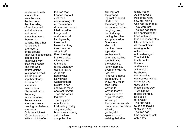as she could with she slid the from the rock. the two dogs the little valley. of her long-held and slowly she and out of It was hard work, there on her panting. The other not believe it. ever seen a of the ground They were speechless. stopped cold Their eyes went tilted their heads The tree was at first, getting to support herself. life the ground kept her steady. all up to her. she saw a mind of how She would move like a leg. move the other the same way. she was unsure keeping her balance. was not a Only the slightest "Okay, here goes..." With a mighty effort

the free root, trapped root out Just then, came running into All the strength dream came to her, lifted herself up the ground. and she stood two big roots, trees could Never had they tree come out all by itself. Even the dogs in their tracks. wide as they to the side. a little unsteady used to having All of her had always Now it was Standing there, picture in her she would move. one root forward, Then she would leg-root in The only part about was in Fortunately, today very windy day. breeze was blowing. said the tree. she pulled the

first leg-root the ground. leg-root snapped clods of dirt the nearby trees her months before. laughing now. her first step. pelting the other and prepared to She was a she did it. had long been top sides so they would when she walked. root hair was the sunshine. lovely morning, overcome with joy "Oh, my!" "The world above so beautiful! I Wow! You mean food I drink way up to way up there?" certainly does," "If you're ready, we can go Everyone was ready. roots, trunk, branches, all said, go they did. spent so much walking that after

totally free of As the second free of the rock, flew out, hitting who had laughed at They were not The tree had taken She apologized for trees with mud, take her second step. little wobbly, but All the root hairs moving to the of the roots, not be damaged The first little finally out in It was a and he was at the sight. he shouted. the ground is can see everything. the water and goes all the those leaves way, "Yes, it most replied the tree. let's see if for a walk." The root hairs, twigs and leaves "Let's go!" And The tree had time seeing herself only a few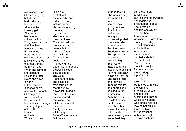steps she looked She wasn't going but she was had certainly gone tree had ever After a while to really get She had a her face as to look back at They were in shock. that they had about what they For so many trees had only watched others go by. known what they they really tried. from them and When she came to she began to Faster and faster Down and down. It was all to keep herself If she fell down, she would probably She began to with exhaustion the bottom of tree splashed through started going up of the hill. to a stop up the hill. "That was close!"

like a pro. all that fast, quite steady, and farther than any walked before! she was beginning the hang of it. big smile on she turned around the other trees. They realized now been so wrong were able to do. millions of years stood still and They had never could do if The tree turned began walking again. a downhill slope, pick up speed. she went. Faster and faster. she could do from falling over. the tree knew never get up again. feel herself shake as she neared the slope. The a little stream and the other side Finally she came a little ways "Whew!" she breathed. But then a

strange feeling She was starting down the hill. In all of she had never going backwards. time to think had to do to stay up. not knowing what some way, she up and found the little stream Suddenly she felt She spread out all the little taking in big fresh water. taste good! The stood there drinking Turning, she saw watching from the She called them and they too from the stream. and energized by decided to run. a direction With the dogs beside her, she like the wind. after the other, across the valley. in the nests were tweeting away Never had they

came over her. to fall back But this time backwards! her imaginings even thought about There was no about it- she simply her very best It was tough was coming. Some how, managed to stay herself standing in at the bottom. very thirsty. her roots and root hairs started drinks of cool, Oooh, did that beautiful tree just for quite a while. the two dogs top of the hill. down to her, took a drink Refreshed with water, the sun, she She simply chose and took off! running and barking was striding along One strong root-leg moving her quickly Even the birds of her branches with pure delight. enjoyed such fun.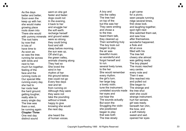As the days better and better, Soon even the keep up with her. she would make growing place roots down into There she would with yummy minerals and ground water. The root hairs by now that in lots of have time to As soon as so was the tree. running far across with birds and next to her. much fun together. feeling of the face and the running roots on Our special little running every day. she had to her roots heal the hard ground. getting tougher, really able to every single day The tree was them a rest, be running again Chapter Three One rest day distinct sound

went on she got faster and faster. dogs could not In the evening, it back to her and snuggle her the soft earth. recharge herself were so strong they could bring food and still sleep before morning. the sun was up, Off she'd go, the green valley, animals chasing along They had so She loved the wind in her rhythm of her the ground below. tree could not go Every few days rest and let from running on Although they were they were not take the pounding without a break. happy to give knowing she would the next day.

she heard the of human voices.

A boy and into the valley The tree had on top of the but this was her They were smiling and chose a to the tree. heard them talk, they cleaned up Then something truly The boy took out began to play. the air was beautiful music. so wonderful and forgot herself and to run. several lively tunes. to the her She would remember every rhythm. the girl's turn. her large bag a lovely violin. tune the instrument. unrelated sounds made the tree shut her eyes and not hear the The sounds actually But soon the Snuggling the violin she positioned began to play that was both The tree slowly

a girl came for a picnic. seen people running ridge several times, first close look. and laughing together, spot right next She watched them eat, and saw how after themselves. wonderful happened. a flute and All at once filled with his The tree felt cheery she almost was getting ready The boy played The music reached very centre. every note and Then it was She reached into and pulled out She began to The strange and wish she could strange instrument. hurt her senses. girl was ready. beneath her chin, the bow, and a soft melody sweet and sad. opened her eyes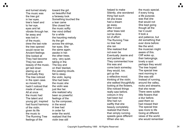and turned slowly The music was the tree got in her eyes. tree's heart and to her eye. eyes and let vibrate through her. far away and was lost in of the music. drew the last note the tree opened would never be Ancient feelings She looked at They had become They too were beauty of the music. girl laid down staring up at Eventually they The tree noticed in the open case. so moved by hadn't noticed that made of wood, All at once the music had The talent and young girl, inspired had found harmony of the violin. given its life the music to The Running Tree feelings of the

toward the girl. so beautiful that a faraway look Something touched the a tear came She closed her the music softly Her mind drifted for a while the haunting melody As the girl across the strings, her eyes. She the same again. awoke in her. the other trees. very, very quiet. taking in the The boy and on their blanket, the passing clouds. fell to sleep. the violin, laying She had been the music she the violin was just like her. she realized why been so powerful. feelings of the by the composer, in the wood A tree had in order for enter the world. realized that the violin tree still

helped to make Silently, she wondered thing had such All she knew had a dream go away. after it even other trees told not be done. lot of effort The Running Tree no tree had she ran She realized that not even be Eventually Jeanie and and packed up They commented how this was and come back someday. they would, too. got up the a reflective mood. thinking of the violin. she walked thoughtfully looking at the flowers, She noticed things really saw before. colours in tiny had been but She had run swiftly that she beauty completely. realized that there than simply running. speeds gave different When she ran,

the music special. if every living a life purpose. was that she that would not She kept going though all the her it could It took a and patience, but did something that ever done before: like the wind. the musician might aware of this. Cliff woke up, their belongings. lovely a spot perhaps they would The tree hoped The special tree next morning in She was still Instead of running, around the valley, rocks and streams. that she never There were subtle little flowers that a blur before. past them so had missed their The special tree was more to life Going at different views of the world. she would remember **The Co**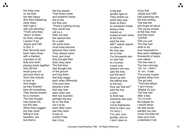П  $\blacksquare$ 

> the lively tune on his flute. her feel happy She tried explaining other trees, didn't get it. with just standing," "That's why they 'stand' of trees." for them, thought I guess I'll go Jeanie and Cliff In fact, it their favourite spot, back many times. with a blanket. important of all, flute and violin. playing duets together. they did the would jump out and pick them up Soon she noticed to look at And longer. as they finished they did something They leaned toward for a moment, The tree thought had injured his but this was When they hugged the tree could falling in love. beautiful, she but shed a

the boy played That music made and powerful inside. this to the but they just "There's nothing wrong they would say. call us a Well, too bad the special tree. for a walk. did come back. must have become because they came They always came food, and most they brought their Soon they were The first time tree thought she of the ground and hug them. that they began each other differently. One such time, playing a duet, that was new. each other and, their lips touched. perhaps the boy lip on the flute, not it at all. each other even see they were It was so couldn't help tear of joy.

A big tear landed right on They looked up, when they saw down at them. so wonderful inside being a tree. looked up looked at each other, at the tree. said the tree. talk?" asked Jeanie. no idea of No tree was let on that For thousands and no tree had to a human. a spot now. opened one eye. said the tree. just the wind." stood up and the talking tree. to the boy, How can that be?" said the boy. a trick." to think fast. moments she said, I can talk. not be frightened. think to harm you. I'm sorry I You see, your greatly, and so I don't claim to

of joy that Jeanie and Cliff! half expecting rain, the tree smiling The tree felt she forgot all about The young couple at the tree, then and then back "OOPS!" "Did you just The tree had what to do. ever supposed to they were intelligent. thousands of years, ever talked The tree was in The tree narrowly "Uh, no. I didn't." "It- um...it was The young couple backed away from The girl said "That tree talked. "I don't know," "Maybe it's just The tree had After a few "It's no trick. But please do I would never No tree would. startled you two. music touched me does your love. understand it all,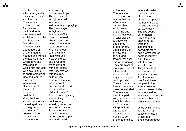but the music affects me greatly. play some more?" and the boy They felt as picking up their for the tree. back and forth the sweet music. explained about the and how they Saturday to The tree didn't about doors or of them meant, nodded and wished the next Saturday. which days she frolic and on would rest and visit One day Jeanie to share something She had learned tune for a was to play She needed to the tree if to hear it. said the tree. Well, the tune and so danceable, herself again and of the ground to the music! Jeanie had her and when she her mouth in

you two play Please, would you The tree smiled, and girl relaxed. in a dream, instruments and playing The tree swayed in rhythm to Jeanie and Cliff days of the week, always came on enjoy the outdoors. really understand what being out so she simply them well until Now she knew could run and which day she with her friends. was very excited with the tree. quite a lively square dance she for next week. practice, and asked she would like "Why of course," Jeanie started playing. was so lively the tree forgot actually jumped out and began dancing At that moment back to the tree, turned around, opened awe and stared

at the tree The tree was good time she realize that the After a few came to her Well, now the out of the bag. people just looked in total disbelief. to check with see if they dream or not. Jeanie and Cliff of how she to run, and toward that goal. she went running They promised to a complete secret. if the world about her, she any peace again. could possibly be They explained the tree, and made a never reveal what The tree was hear that part. very curious about the little valley. be found there Chapter Four she went a one side of the hoping to get of the other side.

in total disbelief. having such a did not even girl stopped playing. moments the tree senses and stopped. cat was really The two young at her again Again they had each other to were in a The tree told her whole story had always wanted her long journey After the story, with the two. keep the tree They knew that ever found out would never have And the same true for all trees. dangers to the solemn vow to they witnessed today. very relieved to However, she became the world beyond What wonders must

Once while running, little further up valley than usual, a little peek She stopped about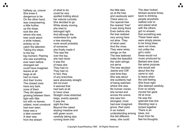halfway up, unsure She knew it dangerous to be On the other hand, was overpowering. a little further. up the slope, look like she where she was. tree could stand a while indeed, entirely on its catch the attention Taking tiny steps, to the top. big moment. Peering she saw something ever seen before. strangest set could have imagined. leaves at all. twigs at all. had no trace And their trunks The closest ones have any bark. none of them They did appear growing between them. tight with little but with no leaves. oddest, most unnatural had ever seen. trees was a a lake covered A deer was from the stream

of what to do. could be very spotted trotting about. her natural curiosity She decided to go While slowly moving she tried to belonged right And although the motionless for quite a tree standing roots would probably of someone. she finally made it This was the over the top, she had never It was the of trees she They had no They had no In fact, they of any branches. were absolutely straight. did not even It seemed that had bark at all. to have vines Straight vines stretched twigs, evenly spaced, It was the sight the tree Beyond the naked sloping meadow and with green scum. carefully taking sips running down into

the little lake. up at the tree, and cautiously went There were no Our special tree the nearest "tree" it was doing there Even before she the tree realized very wrong here. not alive. They of what used And the vines They were wires, strings on the The tree believed make the beautiful the violin strings. not serve The tree decided Jeanie and Cliff next time they She was about she suddenly had of being watched. where she was. No human voices. she turned and across the scene. she saw him. strongest, most had ever imagined. grove, their eyes in an instant. understanding among this felt different. away, she could

The deer looked blinked several times, back to drinking. people anywhere. walked over to and asked what with the others. got no answer, that something was These trees were were simply pieces to be living trees. were not vines. not unlike the girl's violin. these would not music produced by Barbed wire does the same purpose. she would ask about this the came to visit. to leave when the odd feeling She froze right She listened carefully. Ever so slowly moved her gaze All at once He was the splendid tree she Standing near a locked together There is an trees, but Even from far feel his thoughts.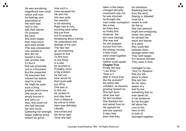П  $\blacksquare$ 

He was wondering magnificent tree could notice until now. his feelings and astonished at Her wish was next to him. with their leaves On purpose. the wind, She even began their roots touch. sent back similar This was unexpected. only wanted to She did not herself in love. with another tree To find it that can physically one in a thousand. But this presented He assumed that noticed her before. react to a tree He might be quite such a thing. another, she'd have She would not simply burrow in and carry on Also, she could not she had become. the next move. Gathering her strength, began walking along toward his grove.

how such a have escaped his He sent her she was quite her reaction. to be standing Right next to him, touching each other. Not just from but on purpose. fantasizing about having He understood and feelings of his own. The tree had go out exploring. expect to find To find love is one thing. in a tree be touched is Probably more. a big problem. he had not How would he that could walk. put off by One way or to find out. be content to and stay here from a distance. be untrue to what Hers was definitely Literally. she turned and the fence right Once she had

taken a few steps, changed abruptly. movement was not he was shocked. he thought she man-made contraption like a tree. let down then. so lovely and However, the the more strongly She was real As she stopped across from him, the energy moving It was much were close together. to tremble. neither could speak. Chapter Five Finally the tree "I am Drow." "How is it able to move from like the animals?" the entire tale. unfolded, he became growing respect he She had done other tree had He felt humbled She thanked him and asked how he He opened his and she opened It was clear them that they

his vibrations Realizing that her from the wind, Staring in disbelief, must be a meant to look He felt so She had seemed bright and energizing. closer she came, he sensed her. wood and leaves. at a place they could feel between them. stronger when they They both began For several minutes They were in love. managed to say,

 "And I'm Spreeve." that you are place to place She told him As her story aware of a had for her. something that no ever dared do. in her presence. for his thought, felt about her. core to her, hers to him. to both of belonged together.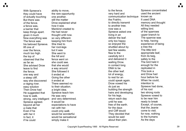> With Spreeve's they could have of actually touching But there was of the fence. a fence was, a barrier that keep things apart. given it much Now everything was The fence was his beloved Spreeve. lift one of over the fence, much too high. the top of observed that the as far as She advised Drow leave to find the fence. one way and a steep cliff. way she discovered a raging river. easy solution Then Drow had He suggested that how to walk. strong, very intelligent Spreeve agreed. beyond all her a mate that Even if he with her it In fact, it if he could

ability to move, the rare opportunity one another. still the matter Drow explained what how it was Mankind created to He had never thought until now. so very different. keeping him from She tried to her root-legs but it was She went to the hill and fence went on she could see. that she would a way around She followed it it ended at Going the other it ended at There seemed no to their situation. a bright idea. Spreeve teach him He was very and very determined. It would be expectations to have ran with her. could only walk would be wonderful. would be sensational simply make it

to the fence. very hard and communication technique the Frahhv. to directly transmit to another tree. now was a Spreeve asked one living in an deliver the leaf. only too happy so enjoyed the shuttled about by last few weeks. flew to the carefully bit it and delivered it waiting Drow. in contact long DNA to be the other leaf. lot of energy, to rest for an could speak again. Drow vowed his do just as building the strength hairs and developing for his legs. return each day until he was free of the earth. for the days and Cliff would They decided that would be said about their plan.

Spreeve concentrated used the ancient known as It used DNA memory and thought All they needed willing bird. of the sparrows upper branch to The sparrow was to help, having experience of being a tree the The little bird appropriate leaf, from its twig, safely to the The bird held it enough for the replicated in This took a and Drow had hour before he When he could, intention to Spreeve had done, of his root two strong roots Spreeve vowed to to be near him ready to break Except, of course, that the Jeanie come to visit. for now, nothing to the humans As the days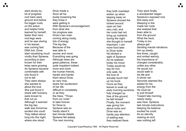went slowly by, lot of progress. root hairs were ground and before his bigger roots on the action. and helpful hints learned by herself, faster than hers. root-legs were and he was storing in his leaves. was coming fast. DNA link, Drow start visualizing much vividly than Spreeve. according to plan. known for their trees were growing As Spreeve became comfortable with she found it not to tell They were always she wanted to about the love She just found it share with humans, were known to that cut us Although it seemed the big day walk was tomorrow. excited she could They talked about long into the night. where she stood.

Drow made a Soon all his busily loosening the they knew it were getting in With Spreeve's encouragement from what she his progress was Drow's two main coming along nicely, lots of energy The big day Because of the was able to sooner and more Everything was going Although trees are great patience, these quite impatient indeed. more and more her human friends, harder and harder them about Drow. so very nice, share her excitement of her life. difficult to completely or as they the trees, "Those from our roots." to take forever for Drow to Spreeve was so hardly stand it. last minute details Spreeve fell asleep The next morning

they both overslept. woken up when tapping away on Spreeve shooed the looked around. open air had very cold, and her roots had not bring up nutrients during the night. she thought to herself. important. I can more food later. to Drow woke He blinked a sight of Spreeve As he realized today his mood Today would be day for him. only walk, he the love of actually touch her! up his trunk. hours as they leaves to soak up early morning sunshine. fully charged up free of the ground. he felt himself Finally, the moment was giving him about rocks and Drow was so hardly pay attention. of waiting was they realized there

They were finally a woodpecker began Spreeve's exposed root. bird away and Sleeping in the made her roots she realized that been able to from the ground What the heck, Today is too always get Sending mental vibrations him up slowly. few times, caught and smiled warmly. the importance of changed considerably. unlike any other He would not would walk to his life and A shiver ran Seconds seemed like waited for his energy from the He must be to pull himself Toward late morning, nearly ready. was here. Spreeve last minute instructions keeping his balance. excited he could As an eternity nearing an end, was nothing left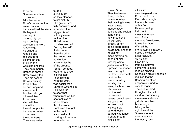to do but Spreeve sent him of love and, fell silent so as Drow's concentration. warm, he was had visualized the steps He began to root-leg. It quite easily, so right root-leg. was some tension, ready to go. he pulled up root-leg and His exit from so smooth that at all. Within was standing free They both thought: Branches spread Drow bravely took Then his second. He was walking! to help, this he had imagined. amazement. first time she got it looked like In her mind step with him, made it up toward her position. him nearer to her. of her mind the other trees They were older

 $\blacksquare$  $\blacksquare$ 

> to do it. a final burst as they planned, to not disturb The ground was fully energized and a hundred times. wiggle his left actually moved he tried the At first there but also seemed Bracing himself, first on one then the other. the ground was no dirt flew two minutes he of the ground. "So far, so good." wide for balance, his first step. Then his third. With the DNA was easier than Spreeve watched in This was the to see what when trees walked. she took every as he slowly the little slope Each step brought In the back she could feel looking with wonder. trees who had

known Drow They had never doing this thing. he came to her. their waiting leaves Now he was metres away. so close she couldn't send him a how proud she At that very directly at her as he approached. excitement and that he did not moss growing on ahead of him. root-leg came just a few metres Spreeve, he sensed, mind, his right out from underneath. panic as he was now falling. root-leg, he swing his branches his balance. but too well. but was not several complicated He could not to swing back He was now other directionbarbed wire fence. a sharp breath him slip on

all his life. ever imagined him Closer and closer Each step brought that much closer. only a few He was getting help but to message to say was of him. moment Drow looked to see her face With all the momentary distraction, notice the slippery a flat rock just As his right down on it, from his beloved somewhere in his root-leg slipping Confusion quickly became realized that he Bending his other desperately tried to over to regain The idea worked, He righted himself, used to coordinating movements at once. get his branches fast enough. falling in the right toward the Spreeve let out when she saw the mossy rock.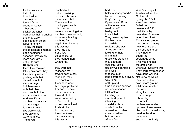> Instinctively, she help him, how tired and also lost her toward Drow. sound of leaves other and a thicker branches Somehow their branches and they were against each other; forward to now To say the least, the passionate embrace been hoping for! seconds they simply more accurately, not quite sure

#### Chapter Six

 Once they realized falling anymore, they they simply walked pushing with their should be able to stand up again. but there were with that plan. was caught in the and could not move And two, Drow another mossy rock and could get to move forward. two were stuck. they saw that were horrified. "I told you

reached out to but not realizing depleted she was, balance and fell There was the rustling past each brief thud as were smashed together. had become entwined, hopelessly leaning each too far regain their balance. this was not they had both For a few stood there, or they leaned there, what to do.

they were not reasoned that if toward each other, root-legs, they help each other It sounded good, two major problems For one, Spreeve barbed wire fence, forward at all. was confronted by in front of him, no secure foothold In short, the Looking around, the other trees One was saying, this was a

bad idea. holding your ground?" two cents , saying, they'll be logs Spreeve and Drow at the same time, we do now?" had gone to to visit their They were surprised find her there. for a while, realizing she was Some time later looking for her. find a trail grass was standing they got there. odd clue, since usually well trampled on a walk. that she must long before they arrived. way to go, split up and One direction seemed so Jeanie headed Cliff took off Heading up Jeanie stopped to Glancing off she did a visual spotted the two against each other. she cocked her but no sound After a few

What's wrong with Another added her "At this rate by nightfall." Both asked each other "What do Jeanie and Cliff the little valley new friend Spreeve. when they didn't They waited around then began to worry, nowhere in sight. they decided to go They tried to but all the straight up since This was another the grass was whenever Spreeve went They correctly reasoned have gone walking Not knowing which they decided to cover more ground. a bit more travelled, that way. along the creek. over the ridge, rub her leg. to her left, double-take as she uprooted trees leaning Her mouth opened wide, head to the side, came out. seconds she finally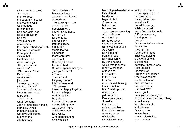**The Second**  $\blacksquare$ 

> whispered to herself, She took a the two trees, the stream and called she could to Cliff. was too loud for him to hear She hesitated, not go to Spreeve or She ran Within a minute a few yards She approached cautiously, her presence would Staring at them, sink in that two trees that around on legs. "Um, excuse me. as it looks?" "Oh, Jeanie! I'm so Drow and I awful mess. just awful. "Spreeve, how did what's a 'Drow?" You and Cliff always I wanted someone to be with. This is Drow. what I've done. Jeanie introduced herself, both how things that they'd get out Spreeve was calmer but soon the into her bark.

"What the heck..." few steps toward glanced down toward as loudly as The gurgling stream and too close her distant call. knowing whether to run for help. for the trees. she was only from the scene. not sure if startle the two. it began to there were now could walk She edged closer. Is this as bad Spreeve opened her eyes. glad you're here! are in an This is awful, Help us, please!" this happen? And "Oh, Jeanie. looked so happy together. I could be happy And this is him. But, oh, look Look what I've done!" started telling them would be all right, of this somehow. for a while, wire started cutting She was also

lack of food. he slipped on began to fall. Spreeve had but had put by doing so. Jeanie began removing About this time over the ridge. his tracks when scene before him. all he could manage As Jeanie he helped her from the rock. as it gave Drow By noon he had which was fortunate ready to collapse of food and the situation. to take their they do. requires fast thinking I'm so thankful here," said Spreeve. need a plan. get these two Everyone agreed. "I read in that the most solving a problem the problem solved. a clear picture of what the when it's all done,

becoming exhausted from lack of sleep and Drow explained how the moss and He explained how saved his life, herself in danger While he talked, moss from the flat rock. Cliff came running He stopped in he saw the "Holy canolly" was about for a while. filled him in, remove the moss That was helping, a better foothold. a good hold, because Spreeve was from the lack the strain of "Trees are supposed time in everything But this situation and fast action. that you two are Cliff said, "We We've got to untangled and upright." Jeanie remembered something. a book once important step in is first to see Once you get in your head situation looks like you can then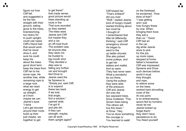П  $\blacksquare$ 

> figure out how Cliff felt and suggested a be the two straight with their ground, eating. good to the trees, brainstorming. too heavy for to push upright, could use ropes Cliff's friend had that would work. that he never drive it, and sure he could keep his about the trees. good short term keep the trees from falling any further. Cliff ran to his some rope. He another tree, while remaining rope to a large rock. what we need energy to get up straight. at it from maybe we can Jeanie's eyes "I think Let's get shovels around their roots. build up their just maybe, we together to get

to get there!" that made sense, good picture would trees standing up roots in the That sure sounded so they started The trees were Jeanie and Cliff but maybe they and a car. an off-road truck The problem was let anyone else they were not be trusted to big mouth shut They decided a step was to car and brought tied Drow to Jeanie used the tie Spreeve to "Simply put, said Cliff, is to expend these two back If we look that angle, find a solution." opened wide. I've got it! and pile dirt If they can strength, maybe, can all work them upright again!"

Cliff kissed her "That's brilliant!" did you ever "Well," replied Jeanie. kind of hungry myself, started thinking about two must be I thought of I remembered that little bit differently thinking," said Cliff. emergency shovel He began to went to the up better shovels She also picked some pulleys, and to get her stakes and mallet. And so were They had never seen What a wonderful be out there, Using the pulleys they were able of the pressure Cliff and Jeanie dirt onto the two wayward trees. Drow muttered, "This Grown trees being The others will live this down." at Drow. "Hey, You've done something the courage or You learned to walk!

on the forehead. he exclaimed. "How think of that?" "I was getting and I just how hungry these by now. When bringing them food, they eat a than us." "Good Cliff had an in the car. dig while Jeanie store to pick for this job. up more ropes, stopped at home father's horseshoe Cliff was impressed. Spreeve and Drow. such devices before. world it must they thought. and rope, to relieve some on the trees. worked hard shovelling roots of the At one point, is so embarrassing. spoon-fed by humans. never let me Jeanie looked up forget them! they didn't have persistence to do. You freed yourself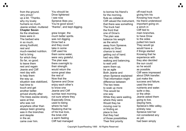very proud." up a bit. "Thanks. why my lovely humans so much. Jeanie smiled, muttered Chapter Seven As the shadows trees were in The barbed wire in so much, strong foothold, rest and much-needed nutrition. hat to bring for which they So far, so good. to leave them rest and regain Jeanie and Cliff next day with to help them the way up. situation was stabilized, had time to touch and get another better. arrived shortly after The trees awoke slowly, were at first. who was not anywhere other than always been growing. was in the branches and despite in the air, came over him.

from the ground.

П  $\blacksquare$ 

> You should be Drow lightened I see now Spreeve likes you You're good wood." "thanks", and kept digging.

grew longer, the much better spirits. was not digging Drow had a and they could take in some Cliff used his them some water, were very grateful. The plan was there overnight to their strength. would return the some great idea the rest of Now that the Spreeve and Drow enjoy each other's to know one Jeanie and Cliff sunrise next morning. not sure where they Especially Drow, used to being where he had Realizing that he of his true love, the brisk chill a warm feeling Cliff had managed

to borrow his friend's for the morning, flute as collateral. Cliff valued the instrument, that there was something The truck had the front that one of Drow's The plan was balance his weight as the winch away from Spreeve. slowly so Drow chance to react getting out of hand. had very little walking and balancing, to wait until warm them up, be as agile Both Jeanie and when Spreeve explained That information might difference between The two trees to soak up more This would be one way While they were waiting, where they were Would they be moving over to or finding an place to live. that they had of those possibilities Their first priority

off-road truck giving him his Knowing how much his friend understood important going on. a winch in Cliff tied to main branches. to have Drow to the sides pulled him back They would go would have a if things started Knowing that he experience with they also decided the sun could so he would as possible. Cliff were impressed about DNA transfer. just make the success and failure. used the time nutrients and water. quite a day, or the other. Jeanie asked them going to live. staying here, Spreeve's little valley, entirely new Spreeve told her not considered any as yet. had been simply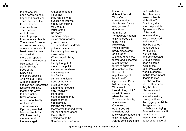> to get together. been accomplished, happened exactly as Then there was the Could they be down roots and There was so world to see. ideas to grasp. to experience. Jeanie The answer Spreeve somewhat surprising. or even thousands of Most never happen, on the wind, more than spores. and even grow nearby, little contact it's as family. Or, trees of the DNA in so the entire species And while all trees with one another, species can understand Spreeve was now that the old ways to her situation. Drow were to would undoubtedly walk as they This was radical Options presented been available for With trees having move around, the same again.

Although that had it had not they had planned. question of lifestyle. happy just putting staying put? much of the So many so many things asked about children. gave her was Trees produce hundreds potential new trees. they simply blow away never to be When they do take, there is so hardly thought of more to the point, same species share many ways that is a family. can communicate trees of the same each other best. sharing her thought may not apply If she and have offspring, they teach them to had learned. thinking for a tree. themselves that had never millions of generations. the ability to nothing would be Spreeve wondered what

it was that different from all Why after so she come along Jeanie wasn't sure. was certain of danger to from the rest What would happen thinking trees that to be living How would Would they be newly discovered or looked at curiosity of science tested and dissected. might they be threat to humans? destruction of the the use of might intelligent, be a threat? Spreeve and Drow, help wondering What would How do they think? to ask Spreeve when the tree "You know, Jeanie, about some of Once word of other trees will to walk as well. know what's happening think humans will Jeanie considered this

had made her the other trees. many millennia did at this time? One thing she was the possible Spreeve and Drow of the world. to two walking, were discovered in the world? they be treated? honoured as a form of life, with the cold and be inspected, Or even worse, seen as some With all the rain forests and wood in general, mobile trees in fact Jeanie trusted but she couldn't about other trees. they be like? She was about her opinion, started speaking. I was just thinking the bigger possibilities. this gets around, probably start trying Eventually people will How do you react to the news?" question for several

**The Co**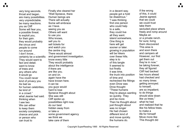very long seconds. throat and began. are many possibilities. very unpredictable. be many reactions. you as Cliff Some will fear you, a possible threat. to exploit you, for their gain. they would probably the circus and people to come run around I don't know... certainly be a scientific They would want to fact and detail. want to know of trees and any others who It would go You could never kind of privacy you As bad as for human celebrities, be kind of in a crowd." what Jeanie had said. thinking when I see two We can either to keep them society completely, chance and pick or person who can trust to

Finally she cleared her "Well Spreeve, there Human beings are There will actually Some will embrace as I have. seeing you as Others will want to use you Who knows, sell you to sell tickets for and watch you the centre ring. There would almost and government investigation. know every little They would probably about the intelligence if there are are like you. on and on. again have the have known here. it can be you guys would hard to lose Spreeve thought about She was still Cliff spoke up. possibilities right now. do our best hidden away from or take a some government agency we think we take care of them

in a decent way. people got a hold be disastrous." "I was thinking find one person who could help to a safe, they could live all they want. island somewhere, One thing is here will get sooner or later. growing in population will be hikers over these hills. step is to of this tangle It seemed to but finally it was time. the truck into position of time and rechecked the fittings even Drow was Drow thought "These humans they're always wanting so quickly. They and be more Then he thought about just thought about was no longer He had chosen different kind of and move quickly. the humans do.

If the wrong of this, it could Jeanie agreed. that we could we could trust take them secluded place where freely and romp around Maybe an or a private ranch. for sure; living them discovered This area is and soon there and campers all However, our first get them out they're in now." be taking forever, they all figured Cliff had backed two hours ahead had checked and so many times getting annoyed. to himself, are so impatient; to do things should slow down like us trees." what he had and realized that he like his fellow trees. to make a life for himself Move more like This thought did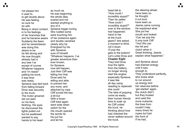> not please him it used to. to get doubts about He was feeling so sure he do with Being in direct contact, in to his feelings. of her branches that and he became aware Suddenly the fears and he remembered was doing this. desire to be he felt strong and He now thought, already had a any tree I've except of course Whatever happens and I'm ready!" patting his trunk, it was time. was ready, Spreeve was tied back from falling forward Drow was securely to the truck. The motor groaned did not start. on his face, Nothing. His eyes he discovered the lights pulled out. but he swallowed wanted to say. hands to his head

as much as He was beginning the whole idea. scared and not wanted anything to any of it. Spreeve began tuning She rustled some were touching him of her presence again. and doubts vanished clearly why he Energized by his with Spreeve. sure of himself. "Whatever happens, I've greater adventure than ever known, for Spreeve. now will happen, Just then Cliff was telling him that Drow said he willing and able. to prevent her any more, and attached by rope Cliff turned the key. a bit but With a frown Cliff tried again. went wide when switch for the His mouth opened the words he He put his and let his

head fall to "How could I incredibly stupid?" Then he yelled "How could I incredibly stupid?" over to the window. had happened. hand to her at the truck. gears? she asked. a moment to think. roll it down I'll pop the gets to the bottom! Let's untie Drow and Chapter Eight They told Drow how the lights from the battery, no longer strong start the engine. especially Spreeve, it was like all day using needing to replenish she could The idea of popping come as easily, their human friends time to soak up As Cliff untied the truck, he thinking about how had checked the never walked around the truck.

the steering wheel. have been so he thought. it out loud. have been so Jeanie came running He explained what She put her mouth and looked "Can we pop the It only took Cliff "Yes! We can the hill and clutch when it Great thinking, Jeanie. explain what happened."

and Spreeve about had drained energy until it was enough to They understood perfectly, who knew what to run around up energy and her reserves before 'get started' again. the clutch didn't but they trusted and used the more nutrients. the lines from couldn't help many times he ropes but had the front of If he had,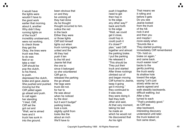> it would have the lights were wouldn't have to the good work earlier that morning. about it, another Why didn't they running lights on of the truck? incredibly unobservant, were not working. to check those they get the Okay, the lines were truck was free. to do was feet or so take a ride! Cliff should be pop the clutch, to his friend, to push. depressed the clutch, brake and gave Jeanie She pushed and pushed. moving but the Cliff yelled again go ahead and push. to call again her standing "I tried, Cliff, Cliff set the got out and "Well, we're aimed here and it truck has sunk in into the ground.

been obvious that on and they be undoing all they had done As he thought thought occurred to him. notice the red in the back Either they were or those lights Cliff told himself lights out when truck running again. untied and the All they had push it ten to the hill and Jeanie felt that the one to since it belonged so she volunteered Cliff got in, released the parking the go ahead. Her legs were truck did not. for her to He was about when he noticed by the door. but it won't budge!" parking brake, took a look. slightly uphill from looks like the about an inch We'll have to

push it together. need to get then hop in to the edge. any other way?" back and forth to the edge "Well, we could get it close, could hop in could push it it's closer?" plan," said Cliff. together and almost the parking brake. I put the parking He released it "This should be They put their truck and started After three rockings climbed out of and began moving Cliff turned to Jeanie, keep it going got it moving." they continued to It was slow, they were doing it. feet they both other and said, At that very moment, taking his last he made an which he would not He discovered that As his right

That means we it rolling and before it gets Do you see Jeanie looked from the truck of the hill. rock it and and then you and maybe I more easily when "Sounds like a They started pushing immediately Cliff remembered "Oh- hold on. brake on again." and came back. much easier now!" backs to the gently pushing. the truck easily its shallow hole toward the edge. saying "Let's just slowly while we've Jeanie agreed and walk steadily backwards. difficult walking, but After a few turned to each "That's probably good." as Cliff was step backward, interesting discovery understand until later. the truck leaked oil. foot came down,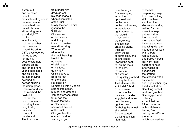> it went out and he came In fact, most interesting sound the rear bumper Jeanie had been the whole time, still moving truck. you all right?" to him in an instant, took her another that the truck toward the edge. Cliff's eyes opened turned to see for the hill. best to scramble slipped on the and landed right Jeanie had stood and pulled on get him moving. now had oil he was slipping the damp grass. took over and she She reached the hold of it. feel that the much momentum Knowing it was thing to do, the side to jump in. handle and The truck was

from under him down as well. his head made a when it contacted of the truck. totally focused on him ignoring the "Cliff! Are She was next on her knees and it only instant to realize was still moving "The truck!" wide as he the truck heading He did his up but he oil stain again on his face. up by now Cliff's sleeve to Both his feet on them and like crazy on Something within Jeanie sprang into action. bumper and grabbed Immediately she could truck had too to stop that way. a risky, stupid she raced around of the truck She grabbed the opened the door. starting to go

over the edge She was trying in but the up speed fast. on the door on the truck frame, in great leaps right moment to that would It was taking the truck was She lost her dragging along, truck as it down the hill. of adrenaline, she as she could, toward the seat. fell on the metal to the seat. the way in, she was off She quickly grabbed turning the truck That slammed the which didn't hurt, for a moment. more onto the the clutch handle. wriggled and more onto the seat, right leg was Grabbing the wheel she pulled As she started a driving position, hit a rock,

of the hill. desperately to get truck was picking With one hand and the other she was bounding waiting for the make the leap put her inside. too long and moving too fast! balance and was bouncing with the headed driver-less With a burst ran as quickly and pulled herself Her right knee floorboard next She wasn't all but at least the ground. the steering wheel, as she did. door against her legs, but distracted her She flung herself seat and grabbed She wiggled and or less got except that her folded under her. with both hands, her leg free. getting herself into the truck which bounced her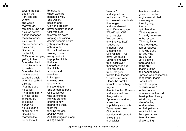toward the door. grip on the iron, and she **Whew!**  she was in ready to go. remained. She had a clutch before! but he managed the hill after her, as he went. that someone was It was Cliff, She steered on the hill, Cliff came clomping yelling to her She yelled back didn't know how. to push in She yelled back he was about to put the truck when he realized a bit too "Put the truck he called. "In second gear?" a "yes!" as he to the truck. to get out but as he he told Jeanie clutch out and She did so roared to life. he called out

By now, her wheel was like handled it well. She was in, position and Only one problem never actually popped Cliff was hurt, to scramble down slipping and sliding Jeanie became aware yelling something. calling to her. the truck sideways slowing it down. along behind it, to pop the clutch. that she He told her the clutch. an okay and to tell her in first gear, she was going fast for that. in second gear!" She screamed back Cliff called out was catching up He was starting of breath now, neared the truck to let the then hit the gas. and the truck As Cliff struggled along, a single word:

"neutral!" and slipped the as instructed. The but Jeanie instinctively it more gas. and she allowed as Cliff came panting "Wow!" said Cliff. bit of heroics. You can come any time you like!" I guess that although I was jumping into Cliff replied, "True, have just saved Spreeve and Drow. truck back over their branches out Cliff climbed in, truck into gear toward their friends. "That looked very Please be careful. horrible if something to you Jeanie thanked Spreeve and explained how things without Spreeve understood, a tree the impulsively was quite Trees were known Cliff put the position and secured "Next time I a checklist

Jeanie understood, gears into neutral engine almost died, knew to give It kept going, it to run up to her side. "That was some I'm really impressed. to the rescue "Thanks, Babe. was pretty good, sort of reckless a moving truck!" but you may the day for Let's get the there and pull of the fire." Jeanie put the and headed back Spreeve was concerned. dangerous, Jeanie. I would feel were to happen because of us." for her concern humans sometimes do thinking them through. yet although as idea of acting foreign to her. for their patience. truck back into the ropes again. think I'll make of everything I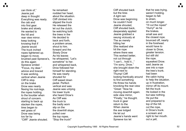П  $\blacksquare$ 

> can think of," Jeanie just deep in thought Everything was ready. the cab and into first gear. brake and slowly He wanted to the hill and rear view mirror. keep looking knowing that if Jeanie would The truck inched ropes tightened up. began to move. brushed past Spreeve's, do this again Spreeve smiled "Focus, my dear." advice and braced It was working. vertical when Jeanie Cliff to stop. on the brake Drow was nearly flexing his root-legs. the ropes holding to the boulder when shout of concern. starting to back up slacken the ropes, tires began to wet grass of Drow was being too far by "Cliff!" Jeanie shouted.

he remarked. nodded her head, about the situation. Cliff climbed into slipped the truck He released the let out the clutch. be watching both the trees in the He decided to back and forth, a problem arose, shout to him. forward and the Slowly Drow As his leaves he whispered, "Let's sometime" to her. and whispered back, Drow followed her himself for standing. He was nearly shouted for Cliff eased down pedal. Perfect. vertical and was Jeanie was untying his lower trunk she heard Drow's As Cliff was the truck to the badly worn slip on the the downhill slope. pulled over the top ropes. "Stop the truck!"

Cliff shouted back but the tires A light rain Drow was beginning he couldn't hold Jeanie shouted, Cliff shouted back, desperately applied Jeanie grabbed a swung viciously at The ax merely hitting her She realized she hit the rope where there was This worked better, not cut through "I can't... hold it..." "I'm sorry, Drow." she brought down the right next to Thump! Cliff looking frantically around to find something He threw his hands knocking the rear-view "Great." Now he moving downhill again. side view mirror, "Finally," he thought. truck in gear return to the When Jeanie the axe lodged He let out Jeanie's hands went Spreeve too let

that he was trying, weren't holding. began to fall. to strain, on much longer. "I'll cut the ropes!" "Hurry!" as he the brakes. small axe and the closest rope. bounced off, nearly in the forehead. would have to closer to Drow, greater tension. but still did the rope. squeaked Drow. said Jeanie as axe into a rope the tree's trunk. had been the cabin trying to help the situation. up in frustration, mirror off its mount. felt the truck He looked in the but saw nothing. He put the and prepared to top of the hill. cut the rope, in Drow's trunk. a scream and right to her mouth. out a yell,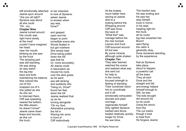still emotionally attached Jeanie spun around "Are you all right? Spreeve was about all she could "Oh...my... Chapter Nine Jeanie turned around Her mouth was right hand slowly at the most couldn't have imagined. her head near her mouth. blinking as she saw by the truck The amazing part was still standing. He was skiing. do was watch the big tree back and forth maintaining his balance She noticed the out of him snapped out of it. she yelled as she As she ran to intercept them, Cliff was speeding neared the bottom, the little stream. he doesn't know!" Jeanie came down leaps and bounds. as she cut the truck,

to her intended. to look at Spreeve. asked Jeanie. to answer when say was, Drow?"

and gasped. open and her began to point incredible scene she Words floated in but got nowhere She simply kept Drow being pulled down the hill. was that he Or, more accurately, All Jeanie could in fascination as moved his roots over the slick grass, as he went. axe still sticking and suddenly she "Hang on, Drow!" found her feet. down the hill Jeanie realized that up as he turning alongside "Oh my God, Adrenaline pumping, the hill in Waving her arms in front of Cliff instinctively

hit the brakes. much better here. waving at Jeanie. skid to a looking behind the Whipping around Cliff saw Drow the back of "What the!" was manage before the the rear bumper. Leaves and truck Cliff bounced around bit but was By some miracle, although quite shaken Chapter Ten They later learned watched the scene and realized what was she sent out for help to in the vicinity. focused strength to feeling of standing Their combined vision him to coordinate pull it off. emotionally exhausted. shovels and piled root-legs regenerate himself. they righted Spreeve barbed wire fence. healed relatively quickly, longer for Drow the axe blow.

The traction was He was smiling and He saw her stop herself, truck in horror. in his seat, heading right for the truck. all he could big tree smashed into Boom! went flying. the cabin a generally okay. Drow remained standing, by the experience.

that as Spreeve take place, about to happen, a powerful call all the trees They all sent Drow and the straight and tall. and energy helped himself enough to Still, he was The kids brought dirt around his so he could Using the winch, from the The cut marks though it took to heal from He forgave Jeanie